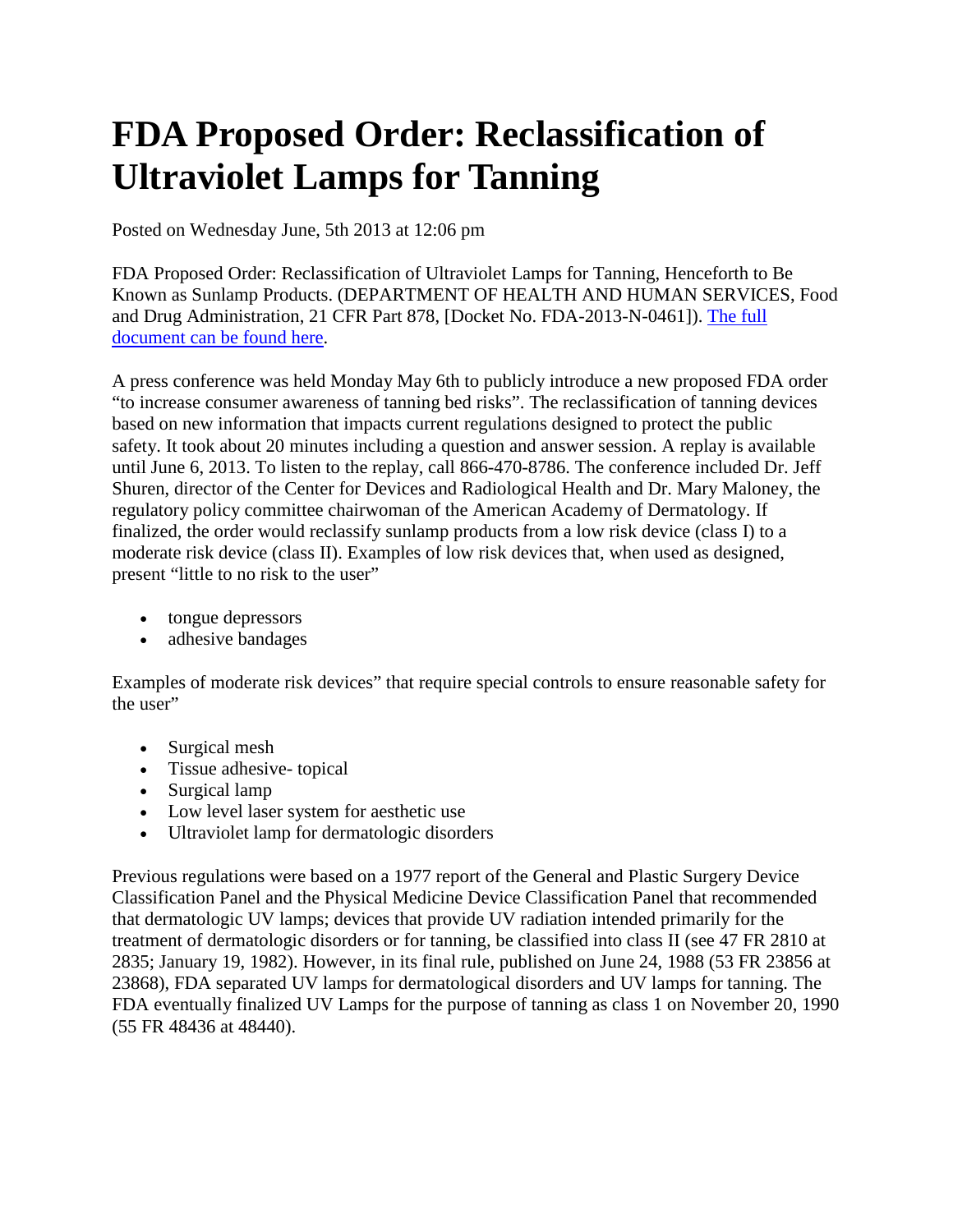## **FDA Proposed Order: Reclassification of Ultraviolet Lamps for Tanning**

Posted on Wednesday June, 5th 2013 at 12:06 pm

FDA Proposed Order: Reclassification of Ultraviolet Lamps for Tanning, Henceforth to Be Known as Sunlamp Products. (DEPARTMENT OF HEALTH AND HUMAN SERVICES, Food and Drug Administration, 21 CFR Part 878, [Docket No. FDA-2013-N-0461]). [The full](https://www.federalregister.gov/articles/2013/05/09/2013-10982/general-and-plastic-surgery-devices-reclassification-of-ultraviolet-lamps-for-tanning-henceforth-to)  [document can be found here.](https://www.federalregister.gov/articles/2013/05/09/2013-10982/general-and-plastic-surgery-devices-reclassification-of-ultraviolet-lamps-for-tanning-henceforth-to)

A press conference was held Monday May 6th to publicly introduce a new proposed FDA order "to increase consumer awareness of tanning bed risks". The reclassification of tanning devices based on new information that impacts current regulations designed to protect the public safety. It took about 20 minutes including a question and answer session. A replay is available until June 6, 2013. To listen to the replay, call 866-470-8786. The conference included Dr. Jeff Shuren, director of the Center for Devices and Radiological Health and Dr. Mary Maloney, the regulatory policy committee chairwoman of the American Academy of Dermatology. If finalized, the order would reclassify sunlamp products from a low risk device (class I) to a moderate risk device (class II). Examples of low risk devices that, when used as designed, present "little to no risk to the user"

- tongue depressors
- adhesive bandages

Examples of moderate risk devices" that require special controls to ensure reasonable safety for the user"

- Surgical mesh
- Tissue adhesive- topical
- Surgical lamp
- Low level laser system for aesthetic use
- Ultraviolet lamp for dermatologic disorders

Previous regulations were based on a 1977 report of the General and Plastic Surgery Device Classification Panel and the Physical Medicine Device Classification Panel that recommended that dermatologic UV lamps; devices that provide UV radiation intended primarily for the treatment of dermatologic disorders or for tanning, be classified into class II (see 47 FR 2810 at 2835; January 19, 1982). However, in its final rule, published on June 24, 1988 (53 FR 23856 at 23868), FDA separated UV lamps for dermatological disorders and UV lamps for tanning. The FDA eventually finalized UV Lamps for the purpose of tanning as class 1 on November 20, 1990 (55 FR 48436 at 48440).